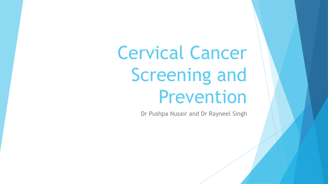Cervical Cancer Screening and Prevention

Dr Pushpa Nusair and Dr Rayneel Singh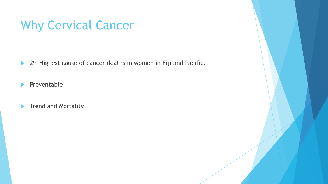## Why Cervical Cancer

 $\blacktriangleright$ 2<sup>nd</sup> Highest cause of cancer deaths in women in Fiji and Pacific.

 $\blacktriangleright$  Preventable

**Trend and Mortality** 

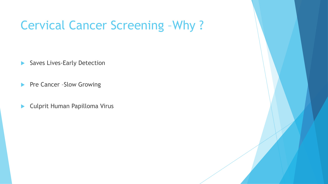#### Cervical Cancer Screening –Why ?

Saves Lives-Early Detection

**Pre Cancer -Slow Growing** 

▶ Culprit Human Papilloma Virus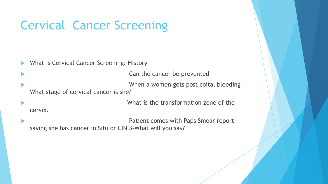What is Cervical Cancer Screening: History

Can the cancer be prevented

 When a women gets post coital bleeding – What stage of cervical cancer is she?

 What is the transformation zone of the cervix.

 Patient comes with Paps Smear report saying she has cancer in Situ or CIN 3-What will you say?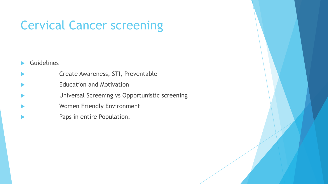- **Guidelines**
- Create Awareness, STI, Preventable
- Education and Motivation
- Universal Screening vs Opportunistic screening
- Women Friendly Environment
- Paps in entire Population.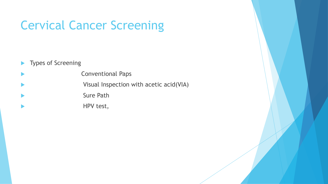- **Types of Screening**
- Conventional Paps
- Visual Inspection with acetic acid(VIA)
- Sure Path
- HPV test,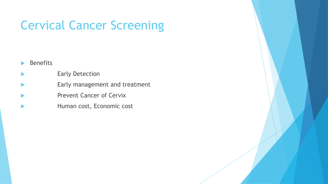- Benefits
- Early Detection
- Early management and treatment
- Prevent Cancer of Cervix
- Human cost, Economic cost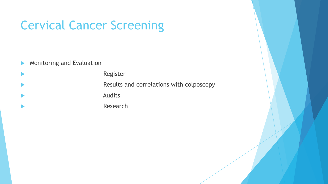- **Monitoring and Evaluation**
- Register Results and correlations with colposcopy Audits Research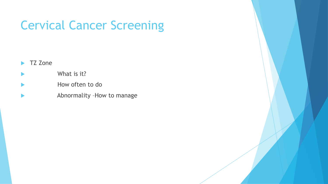- TZ Zone
- What is it?
- How often to do
- Abnormality –How to manage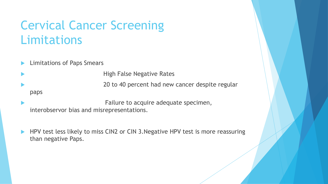### Cervical Cancer Screening Limitations

Limitations of Paps Smears

 High False Negative Rates 20 to 40 percent had new cancer despite regular paps

 Failure to acquire adequate specimen, interobservor bias and misrepresentations.

 HPV test less likely to miss CIN2 or CIN 3.Negative HPV test is more reassuring than negative Paps.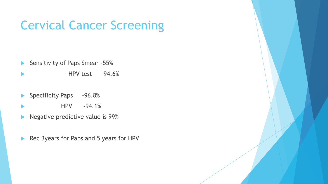- Sensitivity of Paps Smear -55%
- HPV test -94.6%
- Specificity Paps -96.8%
- HPV -94.1%
- Negative predictive value is 99%
- Rec 3years for Paps and 5 years for HPV

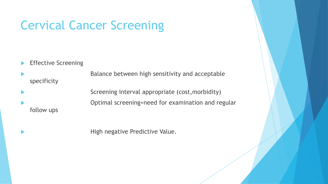Effective Screening

 Balance between high sensitivity and acceptable specificity

 Screening interval appropriate (cost,morbidity) Optimal screening=need for examination and regular follow ups

High negative Predictive Value.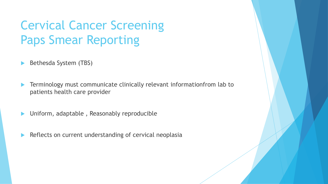# Cervical Cancer Screening Paps Smear Reporting

- Bethesda System (TBS)
- Terminology must communicate clinically relevant informationfrom lab to patients health care provider
- Uniform, adaptable , Reasonably reproducible
- Reflects on current understanding of cervical neoplasia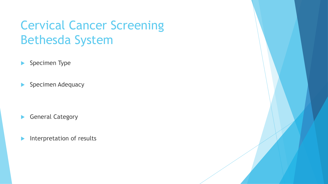## Cervical Cancer Screening Bethesda System

- Specimen Type
- Specimen Adequacy

- General Category
- Interpretation of results

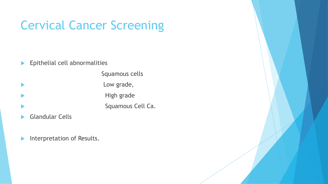**Epithelial cell abnormalities** 

 Squamous cells **Low grade,**  High grade Squamous Cell Ca.

- Glandular Cells
- Interpretation of Results.